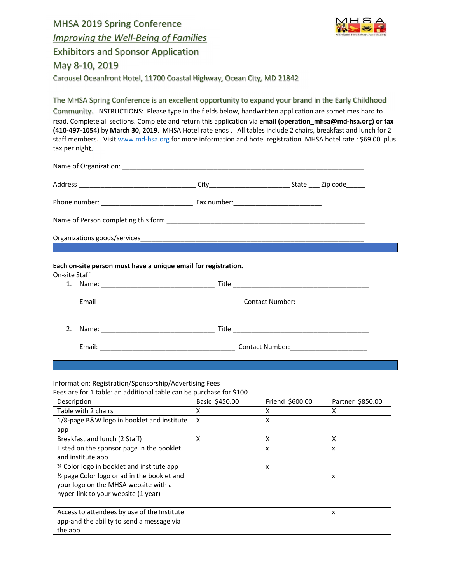| <b>MHSA 2019 Spring Conference</b>                                                                                                                                                                                                                                                                                                                                                                                                                                                                                                                                                     |  |  |  |  |
|----------------------------------------------------------------------------------------------------------------------------------------------------------------------------------------------------------------------------------------------------------------------------------------------------------------------------------------------------------------------------------------------------------------------------------------------------------------------------------------------------------------------------------------------------------------------------------------|--|--|--|--|
| <b>Improving the Well-Being of Families</b>                                                                                                                                                                                                                                                                                                                                                                                                                                                                                                                                            |  |  |  |  |
| <b>Exhibitors and Sponsor Application</b>                                                                                                                                                                                                                                                                                                                                                                                                                                                                                                                                              |  |  |  |  |
| May 8-10, 2019                                                                                                                                                                                                                                                                                                                                                                                                                                                                                                                                                                         |  |  |  |  |
| Carousel Oceanfront Hotel, 11700 Coastal Highway, Ocean City, MD 21842                                                                                                                                                                                                                                                                                                                                                                                                                                                                                                                 |  |  |  |  |
| The MHSA Spring Conference is an excellent opportunity to expand your brand in the Early Childhood<br>Community. INSTRUCTIONS: Please type in the fields below, handwritten application are sometimes hard to<br>read. Complete all sections. Complete and return this application via email (operation_mhsa@md-hsa.org) or fax<br>(410-497-1054) by March 30, 2019. MHSA Hotel rate ends. All tables include 2 chairs, breakfast and lunch for 2<br>staff members. Visit www.md-hsa.org for more information and hotel registration. MHSA hotel rate : \$69.00 plus<br>tax per night. |  |  |  |  |
|                                                                                                                                                                                                                                                                                                                                                                                                                                                                                                                                                                                        |  |  |  |  |
|                                                                                                                                                                                                                                                                                                                                                                                                                                                                                                                                                                                        |  |  |  |  |
|                                                                                                                                                                                                                                                                                                                                                                                                                                                                                                                                                                                        |  |  |  |  |
| Organizations goods/services_                                                                                                                                                                                                                                                                                                                                                                                                                                                                                                                                                          |  |  |  |  |
|                                                                                                                                                                                                                                                                                                                                                                                                                                                                                                                                                                                        |  |  |  |  |
| Each on-site person must have a unique email for registration.<br>On-site Staff                                                                                                                                                                                                                                                                                                                                                                                                                                                                                                        |  |  |  |  |
| 1.                                                                                                                                                                                                                                                                                                                                                                                                                                                                                                                                                                                     |  |  |  |  |
|                                                                                                                                                                                                                                                                                                                                                                                                                                                                                                                                                                                        |  |  |  |  |
|                                                                                                                                                                                                                                                                                                                                                                                                                                                                                                                                                                                        |  |  |  |  |

2. Name: \_\_\_\_\_\_\_\_\_\_\_\_\_\_\_\_\_\_\_\_\_\_\_\_\_\_\_\_\_\_\_ Title:\_\_\_\_\_\_\_\_\_\_\_\_\_\_\_\_\_\_\_\_\_\_\_\_\_\_\_\_\_\_\_\_\_\_\_\_\_ Email: \_\_\_\_\_\_\_\_\_\_\_\_\_\_\_\_\_\_\_\_\_\_\_\_\_\_\_\_\_\_\_\_\_\_\_\_\_ Contact Number:\_\_\_\_\_\_\_\_\_\_\_\_\_\_\_\_\_\_\_\_\_

Information: Registration/Sponsorship/Advertising Fees

Fees are for 1 table: an additional table can be purchase for \$100

| Description                                  | Basic \$450.00 | Friend \$600.00 | Partner \$850.00 |
|----------------------------------------------|----------------|-----------------|------------------|
| Table with 2 chairs                          | x              | х               | X                |
| 1/8-page B&W logo in booklet and institute   | X              | x               |                  |
| app                                          |                |                 |                  |
| Breakfast and lunch (2 Staff)                | X              | x               | X                |
| Listed on the sponsor page in the booklet    |                | x               | x                |
| and institute app.                           |                |                 |                  |
| % Color logo in booklet and institute app    |                | x               |                  |
| 1/2 page Color logo or ad in the booklet and |                |                 | x                |
| your logo on the MHSA website with a         |                |                 |                  |
| hyper-link to your website (1 year)          |                |                 |                  |
|                                              |                |                 |                  |
| Access to attendees by use of the Institute  |                |                 | x                |
| app-and the ability to send a message via    |                |                 |                  |
| the app.                                     |                |                 |                  |